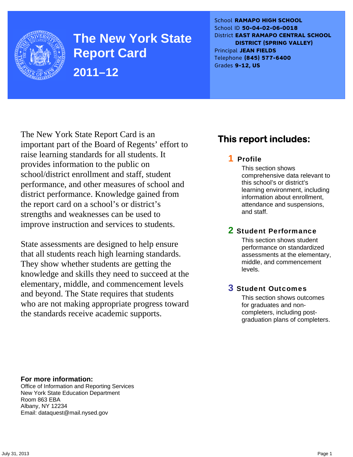

**The New York State Report Card 2011–12** 

School **RAMAPO HIGH SCHOOL** School ID **50-04-02-06-0018** District **EAST RAMAPO CENTRAL SCHOOL DISTRICT (SPRING VALLEY)** Principal **JEAN FIELDS** Telephone **(845) 577-6400** Grades **9-12, US**

The New York State Report Card is an important part of the Board of Regents' effort to raise learning standards for all students. It provides information to the public on school/district enrollment and staff, student performance, and other measures of school and district performance. Knowledge gained from the report card on a school's or district's strengths and weaknesses can be used to improve instruction and services to students.

State assessments are designed to help ensure that all students reach high learning standards. They show whether students are getting the knowledge and skills they need to succeed at the elementary, middle, and commencement levels and beyond. The State requires that students who are not making appropriate progress toward the standards receive academic supports.

# **This report includes:**

### 1 Profile

This section shows comprehensive data relevant to this school's or district's learning environment, including information about enrollment, attendance and suspensions, and staff.

### 2 Student Performance

This section shows student performance on standardized assessments at the elementary, middle, and commencement levels.

### 3 Student Outcomes

This section shows outcomes for graduates and noncompleters, including postgraduation plans of completers.

**For more information:**  Office of Information and Reporting Services New York State Education Department Room 863 EBA Albany, NY 12234

Email: dataquest@mail.nysed.gov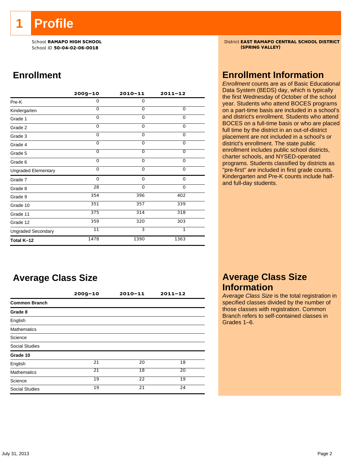**1 Profile** 

School ID 50-04-02-06-0018

# **Enrollment**

|                            | 2009-10  | $2010 - 11$ | $2011 - 12$    |
|----------------------------|----------|-------------|----------------|
| Pre-K                      | 0        | 0           |                |
| Kindergarten               | $\Omega$ | $\Omega$    | 0              |
| Grade 1                    | 0        | $\Omega$    | $\Omega$       |
| Grade 2                    | $\Omega$ | $\Omega$    | 0              |
| Grade 3                    | $\Omega$ | 0           | 0              |
| Grade 4                    | $\Omega$ | $\Omega$    | 0              |
| Grade 5                    | $\Omega$ | 0           | $\overline{0}$ |
| Grade 6                    | 0        | 0           | 0              |
| <b>Ungraded Elementary</b> | $\Omega$ | 0           | 0              |
| Grade 7                    | 0        | $\mathbf 0$ | 0              |
| Grade 8                    | 28       | $\mathbf 0$ | 0              |
| Grade 9                    | 354      | 396         | 402            |
| Grade 10                   | 351      | 357         | 339            |
| Grade 11                   | 375      | 314         | 318            |
| Grade 12                   | 359      | 320         | 303            |
| <b>Ungraded Secondary</b>  | 11       | 3           | $\mathbf{1}$   |
| Total K-12                 | 1478     | 1390        | 1363           |

# **Average Class Size**

|                       | $2009 - 10$ | $2010 - 11$     | $2011 - 12$ |
|-----------------------|-------------|-----------------|-------------|
| <b>Common Branch</b>  |             |                 |             |
| Grade 8               |             |                 |             |
| English               |             |                 |             |
| <b>Mathematics</b>    |             |                 |             |
| Science               |             |                 |             |
| <b>Social Studies</b> |             |                 |             |
| Grade 10              |             |                 |             |
| English               | 21          | 20              | 18          |
| <b>Mathematics</b>    | 21          | 18              | 20          |
| Science               | 19          | $\overline{22}$ | 19          |
| <b>Social Studies</b> | 19          | 21              | 24          |

School **RAMAPO HIGH SCHOOL**<br>School ID 50-04-02-06-0018<br>Chool ID 50-04-02-06-0018

### **Enrollment Information**

*Enrollment* counts are as of Basic Educational Data System (BEDS) day, which is typically the first Wednesday of October of the school year. Students who attend BOCES programs on a part-time basis are included in a school's and district's enrollment. Students who attend BOCES on a full-time basis or who are placed full time by the district in an out-of-district placement are not included in a school's or district's enrollment. The state public enrollment includes public school districts, charter schools, and NYSED-operated programs. Students classified by districts as "pre-first" are included in first grade counts. Kindergarten and Pre-K counts include halfand full-day students.

### **Average Class Size Information**

*Average Class Size* is the total registration in specified classes divided by the number of those classes with registration. Common Branch refers to self-contained classes in Grades 1–6.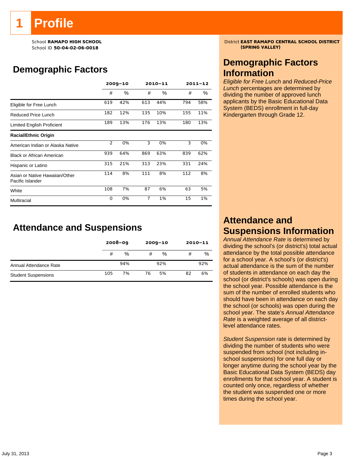# **Profile**

School ID 50-04-02-06-0018

# **Demographic Factors**

|                                                    |     | $2009 - 10$ |     | 2010-11 | $2011 - 12$ |     |
|----------------------------------------------------|-----|-------------|-----|---------|-------------|-----|
|                                                    | #   | %           | #   | $\%$    | #           | ℅   |
| Eligible for Free Lunch                            | 619 | 42%         | 613 | 44%     | 794         | 58% |
| <b>Reduced Price Lunch</b>                         | 182 | 12%         | 135 | 10%     | 155         | 11% |
| Limited English Proficient                         | 189 | 13%         | 176 | 13%     | 180         | 13% |
| <b>Racial/Ethnic Origin</b>                        |     |             |     |         |             |     |
| American Indian or Alaska Native                   | 2   | 0%          | 3   | 0%      | 3           | 0%  |
| <b>Black or African American</b>                   | 939 | 64%         | 869 | 63%     | 839         | 62% |
| Hispanic or Latino                                 | 315 | 21%         | 313 | 23%     | 331         | 24% |
| Asian or Native Hawaiian/Other<br>Pacific Islander | 114 | 8%          | 111 | 8%      | 112         | 8%  |
| White                                              | 108 | 7%          | 87  | 6%      | 63          | 5%  |
| Multiracial                                        | 0   | 0%          | 7   | 1%      | 15          | 1%  |

# **Attendance and Suspensions**

|                            |     | $2008 - 09$ |    | $2009 - 10$ | $2010 - 11$ |     |
|----------------------------|-----|-------------|----|-------------|-------------|-----|
|                            | #   | %           | #  | %           | #           | %   |
| Annual Attendance Rate     |     | 94%         |    | 92%         |             | 92% |
| <b>Student Suspensions</b> | 105 | 7%          | 76 | 5%          | 82          | 6%  |

School **RAMAPO HIGH SCHOOL**<br>School ID 50-04-02-06-0018<br>Chool ID 50-04-02-06-0018

## **Demographic Factors Information**

*Eligible for Free Lunch* and *Reduced-Price Lunch* percentages are determined by dividing the number of approved lunch applicants by the Basic Educational Data System (BEDS) enrollment in full-day Kindergarten through Grade 12.

# **Attendance and Suspensions Information**

*Annual Attendance Rate* is determined by dividing the school's (or district's) total actual attendance by the total possible attendance for a school year. A school's (or district's) actual attendance is the sum of the number of students in attendance on each day the school (or district's schools) was open during the school year. Possible attendance is the sum of the number of enrolled students who should have been in attendance on each day the school (or schools) was open during the school year. The state's *Annual Attendance Rate* is a weighted average of all districtlevel attendance rates.

*Student Suspension* rate is determined by dividing the number of students who were suspended from school (not including inschool suspensions) for one full day or longer anytime during the school year by the Basic Educational Data System (BEDS) day enrollments for that school year. A student is counted only once, regardless of whether the student was suspended one or more times during the school year.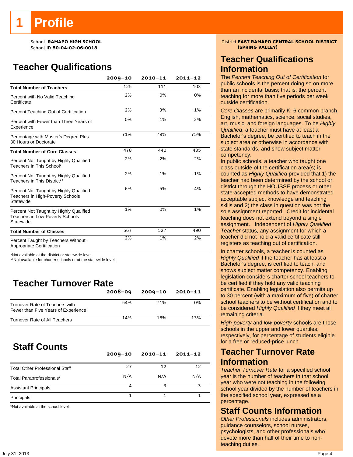School ID **50-04-02-06-0018 (SPRING VALLEY)**

# **Teacher Qualifications**

|                                                                                               | $2009 - 10$ | $2010 - 11$ | $2011 - 12$ |
|-----------------------------------------------------------------------------------------------|-------------|-------------|-------------|
| <b>Total Number of Teachers</b>                                                               | 125         | 111         | 103         |
| Percent with No Valid Teaching<br>Certificate                                                 | 2%          | 0%          | 0%          |
| Percent Teaching Out of Certification                                                         | 2%          | 3%          | 1%          |
| Percent with Fewer than Three Years of<br>Experience                                          | 0%          | 1%          | 3%          |
| Percentage with Master's Degree Plus<br>30 Hours or Doctorate                                 | 71%         | 79%         | 75%         |
| <b>Total Number of Core Classes</b>                                                           | 478         | 440         | 435         |
| Percent Not Taught by Highly Qualified<br>Teachers in This School*                            | 2%          | 2%          | 2%          |
| Percent Not Taught by Highly Qualified<br>Teachers in This District**                         | 2%          | 1%          | 1%          |
| Percent Not Taught by Highly Qualified<br>Teachers in High-Poverty Schools<br>Statewide       | 6%          | 5%          | 4%          |
| Percent Not Taught by Highly Qualified<br><b>Teachers in Low-Poverty Schools</b><br>Statewide | 1%          | 0%          | 1%          |
| <b>Total Number of Classes</b>                                                                | 567         | 527         | 490         |
| Percent Taught by Teachers Without<br>Appropriate Certification                               | 2%          | 1%          | 2%          |

\*Not available at the district or statewide level.

\*\*Not available for charter schools or at the statewide level.

# **Teacher Turnover Rate**

|                                                                       | $2008 - 09$ | $2009 - 10$ | $2010 - 11$ |
|-----------------------------------------------------------------------|-------------|-------------|-------------|
| Turnover Rate of Teachers with<br>Fewer than Five Years of Experience | 54%         | 71%         | 0%          |
| Turnover Rate of All Teachers                                         | 14%         | 18%         | 13%         |

# **Staff Counts**

|                                       | $2009 - 10$ | $2010 - 11$ | $2011 - 12$ |
|---------------------------------------|-------------|-------------|-------------|
| <b>Total Other Professional Staff</b> | 27          | 12          | 12          |
| Total Paraprofessionals*              | N/A         | N/A         | N/A         |
| <b>Assistant Principals</b>           | 4           |             |             |
| Principals                            |             |             |             |

\*Not available at the school level.

School **RAMAPO HIGH SCHOOL**<br>School ID 50-04-02-06-0018<br>School ID 50-04-02-06-0018

### **Teacher Qualifications Information**

The *Percent Teaching Out of Certification* for public schools is the percent doing so on more than an incidental basis; that is, the percent teaching for more than five periods per week outside certification.

*Core Classes* are primarily K–6 common branch, English, mathematics, science, social studies, art, music, and foreign languages. To be *Highly Qualified*, a teacher must have at least a Bachelor's degree, be certified to teach in the subject area or otherwise in accordance with state standards, and show subject matter competency.

In public schools, a teacher who taught one class outside of the certification area(s) is counted as *Highly Qualified* provided that 1) the teacher had been determined by the school or district through the HOUSSE process or other state-accepted methods to have demonstrated acceptable subject knowledge and teaching skills and 2) the class in question was not the sole assignment reported. Credit for incidental teaching does not extend beyond a single assignment. Independent of *Highly Qualified Teacher* status, any assignment for which a teacher did not hold a valid certificate still registers as teaching out of certification.

In charter schools, a teacher is counted as *Highly Qualified* if the teacher has at least a Bachelor's degree, is certified to teach, and shows subject matter competency. Enabling legislation considers charter school teachers to be certified if they hold any valid teaching certificate. Enabling legislation also permits up to 30 percent (with a maximum of five) of charter school teachers to be without certification and to be considered *Highly Qualified* if they meet all remaining criteria.

*High-poverty* and *low-poverty* schools are those schools in the upper and lower quartiles, respectively, for percentage of students eligible for a free or reduced-price lunch.

### **Teacher Turnover Rate Information**

*Teacher Turnover Rate* for a specified school year is the number of teachers in that school year who were not teaching in the following school year divided by the number of teachers in the specified school year, expressed as a percentage.

### **Staff Counts Information**

*Other Professionals* includes administrators, guidance counselors, school nurses, psychologists, and other professionals who devote more than half of their time to nonteaching duties.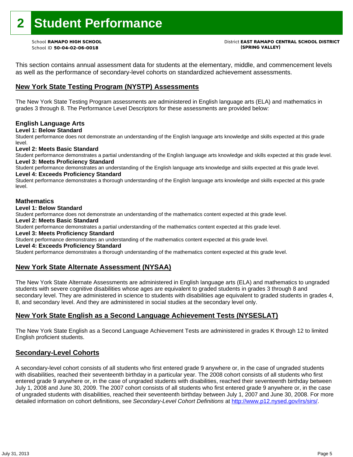# **2 Student Performance**

School ID **50-04-02-06-0018 (SPRING VALLEY)**

# School **RAMAPO HIGH SCHOOL** District **EAST RAMAPO CENTRAL SCHOOL DISTRICT**

This section contains annual assessment data for students at the elementary, middle, and commencement levels as well as the performance of secondary-level cohorts on standardized achievement assessments.

### **New York State Testing Program (NYSTP) Assessments**

The New York State Testing Program assessments are administered in English language arts (ELA) and mathematics in grades 3 through 8. The Performance Level Descriptors for these assessments are provided below:

#### **English Language Arts**

**Level 1: Below Standard** 

Student performance does not demonstrate an understanding of the English language arts knowledge and skills expected at this grade level.

#### **Level 2: Meets Basic Standard**

Student performance demonstrates a partial understanding of the English language arts knowledge and skills expected at this grade level. **Level 3: Meets Proficiency Standard** 

Student performance demonstrates an understanding of the English language arts knowledge and skills expected at this grade level. **Level 4: Exceeds Proficiency Standard** 

Student performance demonstrates a thorough understanding of the English language arts knowledge and skills expected at this grade level.

#### **Mathematics**

#### **Level 1: Below Standard**

Student performance does not demonstrate an understanding of the mathematics content expected at this grade level.

#### **Level 2: Meets Basic Standard**

Student performance demonstrates a partial understanding of the mathematics content expected at this grade level.

#### **Level 3: Meets Proficiency Standard**

Student performance demonstrates an understanding of the mathematics content expected at this grade level.

#### **Level 4: Exceeds Proficiency Standard**

Student performance demonstrates a thorough understanding of the mathematics content expected at this grade level.

#### **New York State Alternate Assessment (NYSAA)**

The New York State Alternate Assessments are administered in English language arts (ELA) and mathematics to ungraded students with severe cognitive disabilities whose ages are equivalent to graded students in grades 3 through 8 and secondary level. They are administered in science to students with disabilities age equivalent to graded students in grades 4, 8, and secondary level. And they are administered in social studies at the secondary level only.

#### **New York State English as a Second Language Achievement Tests (NYSESLAT)**

The New York State English as a Second Language Achievement Tests are administered in grades K through 12 to limited English proficient students.

#### **Secondary-Level Cohorts**

A secondary-level cohort consists of all students who first entered grade 9 anywhere or, in the case of ungraded students with disabilities, reached their seventeenth birthday in a particular year. The 2008 cohort consists of all students who first entered grade 9 anywhere or, in the case of ungraded students with disabilities, reached their seventeenth birthday between July 1, 2008 and June 30, 2009. The 2007 cohort consists of all students who first entered grade 9 anywhere or, in the case of ungraded students with disabilities, reached their seventeenth birthday between July 1, 2007 and June 30, 2008. For more detailed information on cohort definitions, see *Secondary-Level Cohort Definitions* at http://www.p12.nysed.gov/irs/sirs/.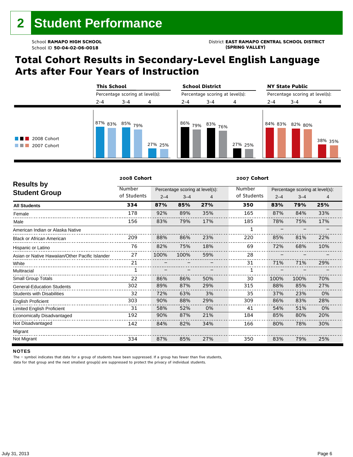# **Total Cohort Results in Secondary-Level English Language Arts after Four Years of Instruction**

|                                           |         | <b>This School</b><br>Percentage scoring at level(s): |         |            | <b>School District</b><br>Percentage scoring at level(s): |         |         | <b>NY State Public</b><br>Percentage scoring at level(s): |         |  |
|-------------------------------------------|---------|-------------------------------------------------------|---------|------------|-----------------------------------------------------------|---------|---------|-----------------------------------------------------------|---------|--|
|                                           |         |                                                       |         |            |                                                           |         |         |                                                           |         |  |
|                                           | $2 - 4$ | $3 - 4$                                               | 4       | $2 - 4$    | $3 - 4$                                                   | 4       | $2 - 4$ | $3 - 4$                                                   | 4       |  |
| $\blacksquare$ 2008 Cohort<br>2007 Cohort | 87% 83% | , 85% <sub>79%</sub>                                  | 27% 25% | 86%<br>79% | $\sim$ 83% 76%                                            | 27% 25% |         | 84% 83% 82% 80%                                           | 38% 35% |  |

|                                                 | 2008 Cohort |         |                                 |     | 2007 Cohort |         |                                 |     |
|-------------------------------------------------|-------------|---------|---------------------------------|-----|-------------|---------|---------------------------------|-----|
| <b>Results by</b>                               | Number      |         | Percentage scoring at level(s): |     | Number      |         | Percentage scoring at level(s): |     |
| <b>Student Group</b>                            | of Students | $2 - 4$ | $3 - 4$                         | 4   | of Students | $2 - 4$ | $3 - 4$                         | 4   |
| <b>All Students</b>                             | 334         | 87%     | 85%                             | 27% | 350         | 83%     | 79%                             | 25% |
| Female                                          | 178         | 92%     | 89%                             | 35% | 165         | 87%     | 84%                             | 33% |
| Male                                            | 156         | 83%     | 79%                             | 17% | 185         | 78%     | 75%                             | 17% |
| American Indian or Alaska Native                |             |         |                                 |     |             |         |                                 |     |
| <b>Black or African American</b>                | 209         | 88%     | 86%                             | 23% | 220         | 85%     | 81%                             | 22% |
| Hispanic or Latino                              | 76          | 82%     | 75%                             | 18% | 69          | 72%     | 68%                             | 10% |
| Asian or Native Hawaiian/Other Pacific Islander | 27          | 100%    | 100%                            | 59% | 28          |         |                                 |     |
| White                                           | 21          |         |                                 |     | 31          | 71%     | 71%                             | 29% |
| Multiracial                                     |             |         |                                 |     |             |         |                                 |     |
| <b>Small Group Totals</b>                       | 22          | 86%     | 86%                             | 50% | 30          | 100%    | 100%                            | 70% |
| <b>General-Education Students</b>               | 302         | 89%     | 87%                             | 29% | 315         | 88%     | 85%                             | 27% |
| <b>Students with Disabilities</b>               | 32          | 72%     | 63%                             | 3%  | 35          | 37%     | 23%                             | 0%  |
| <b>English Proficient</b>                       | 303         | 90%     | 88%                             | 29% | 309         | 86%     | 83%                             | 28% |
| <b>Limited English Proficient</b>               | 31          | 58%     | 52%                             | 0%  | 41          | 54%     | 51%                             | 0%  |
| Economically Disadvantaged                      | 192         | 90%     | 87%                             | 21% | 184         | 85%     | 80%                             | 20% |
| Not Disadvantaged                               | 142         | 84%     | 82%                             | 34% | 166         | 80%     | 78%                             | 30% |
| Migrant                                         |             |         |                                 |     |             |         |                                 |     |
| Not Migrant                                     | 334         | 87%     | 85%                             | 27% | 350         | 83%     | 79%                             | 25% |

#### **NOTES**

The – symbol indicates that data for a group of students have been suppressed. If a group has fewer than five students,

data for that group and the next smallest group(s) are suppressed to protect the privacy of individual students.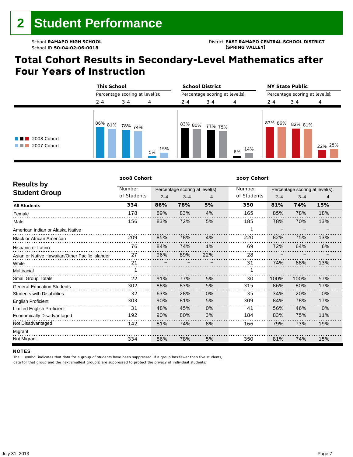# **Total Cohort Results in Secondary-Level Mathematics after Four Years of Instruction**

|                                           |           | <b>This School</b><br>Percentage scoring at level(s): |           |         | <b>School District</b><br>Percentage scoring at level(s): |           |         | <b>NY State Public</b><br>Percentage scoring at level(s): |         |  |
|-------------------------------------------|-----------|-------------------------------------------------------|-----------|---------|-----------------------------------------------------------|-----------|---------|-----------------------------------------------------------|---------|--|
|                                           |           |                                                       |           |         |                                                           |           |         |                                                           |         |  |
|                                           | $2 - 4$   | $3 - 4$                                               | 4         | $2 - 4$ | $3 - 4$                                                   | 4         | $2 - 4$ | $3 - 4$                                                   | 4       |  |
| $\blacksquare$ 2008 Cohort<br>2007 Cohort | 86% 81% · | 78% <sub>74%</sub>                                    | 15%<br>5% | 83% 80% | 77% 75%                                                   | 14%<br>6% | 87% 86% | 82% 81%                                                   | 22% 25% |  |

|                                                 | 2008 Cohort |         |                                 |     | 2007 Cohort |         |                                 |     |
|-------------------------------------------------|-------------|---------|---------------------------------|-----|-------------|---------|---------------------------------|-----|
| <b>Results by</b>                               | Number      |         | Percentage scoring at level(s): |     | Number      |         | Percentage scoring at level(s): |     |
| <b>Student Group</b>                            | of Students | $2 - 4$ | $3 - 4$                         | 4   | of Students | $2 - 4$ | $3 - 4$                         | 4   |
| <b>All Students</b>                             | 334         | 86%     | 78%                             | 5%  | 350         | 81%     | 74%                             | 15% |
| Female                                          | 178         | 89%     | 83%                             | 4%  | 165         | 85%     | 78%                             | 18% |
| Male                                            | 156         | 83%     | 72%                             | 5%  | 185         | 78%     | 70%                             | 13% |
| American Indian or Alaska Native                |             |         |                                 |     | 1           |         |                                 |     |
| <b>Black or African American</b>                | 209         | 85%     | 78%                             | 4%  | 220         | 82%     | 75%                             | 13% |
| Hispanic or Latino                              | 76          | 84%     | 74%                             | 1%  | 69          | 72%     | 64%                             | 6%  |
| Asian or Native Hawaiian/Other Pacific Islander | 27          | 96%     | 89%                             | 22% | 28          |         |                                 |     |
| White                                           | 21          |         |                                 |     | 31          | 74%     | 68%                             | 13% |
| Multiracial                                     |             |         |                                 |     |             |         |                                 |     |
| Small Group Totals                              | 22          | 91%     | 77%                             | 5%  | 30          | 100%    | 100%                            | 57% |
| <b>General-Education Students</b>               | 302         | 88%     | 83%                             | 5%  | 315         | 86%     | 80%                             | 17% |
| <b>Students with Disabilities</b>               | 32          | 63%     | 28%                             | 0%  | 35          | 34%     | 20%                             | 0%  |
| <b>English Proficient</b>                       | 303         | 90%     | 81%                             | 5%  | 309         | 84%     | 78%                             | 17% |
| <b>Limited English Proficient</b>               | 31          | 48%     | 45%                             | 0%  | 41          | 56%     | 46%                             | 0%  |
| Economically Disadvantaged                      | 192         | 90%     | 80%                             | 3%  | 184         | 83%     | 75%                             | 11% |
| Not Disadvantaged                               | 142         | 81%     | 74%                             | 8%  | 166         | 79%     | 73%                             | 19% |
| Migrant                                         |             |         |                                 |     |             |         |                                 |     |
| Not Migrant                                     | 334         | 86%     | 78%                             | 5%  | 350         | 81%     | 74%                             | 15% |

#### **NOTES**

The – symbol indicates that data for a group of students have been suppressed. If a group has fewer than five students,

data for that group and the next smallest group(s) are suppressed to protect the privacy of individual students.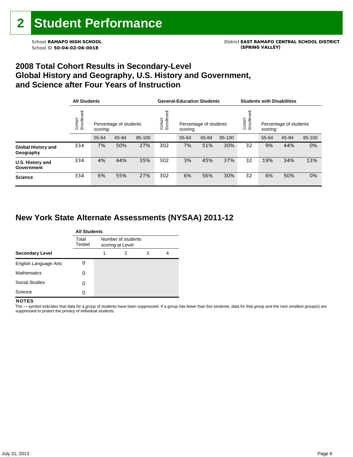### **2008 Total Cohort Results in Secondary-Level Global History and Geography, U.S. History and Government, and Science after Four Years of Instruction**

|                                        |                      | <b>All Students</b>                |       |        |                    | <b>General-Education Students</b>  |       |        |                                                         | <b>Students with Disabilities</b> |       |        |  |
|----------------------------------------|----------------------|------------------------------------|-------|--------|--------------------|------------------------------------|-------|--------|---------------------------------------------------------|-----------------------------------|-------|--------|--|
|                                        | Enrollment<br>Cohort | Percentage of students<br>scoring: |       |        | Enrollme<br>Cohort | Percentage of students<br>scoring: |       |        | Cohort<br>Enrollm<br>Percentage of students<br>scoring: |                                   |       |        |  |
|                                        |                      | 55-64                              | 65-84 | 85-100 |                    | 55-64                              | 65-84 | 85-100 |                                                         | 55-64                             | 65-84 | 85-100 |  |
| <b>Global History and</b><br>Geography | 334                  | 7%                                 | 50%   | 27%    | 302                | 7%                                 | 51%   | 30%    | 32                                                      | 9%                                | 44%   | 0%     |  |
| U.S. History and<br>Government         | 334                  | 4%                                 | 44%   | 35%    | 302                | 3%                                 | 45%   | 37%    | 32                                                      | 19%                               | 34%   | 13%    |  |
| <b>Science</b>                         | 334                  | 6%                                 | 55%   | 27%    | 302                | 6%                                 | 56%   | 30%    | 32                                                      | 6%                                | 50%   | 0%     |  |

### **New York State Alternate Assessments (NYSAA) 2011-12**

|                        | <b>All Students</b> |                                         |   |   |   |  |  |  |  |
|------------------------|---------------------|-----------------------------------------|---|---|---|--|--|--|--|
|                        | Total<br>Tested     | Number of students<br>scoring at Level: |   |   |   |  |  |  |  |
| <b>Secondary Level</b> |                     | 1                                       | 2 | 3 | 4 |  |  |  |  |
| English Language Arts  |                     |                                         |   |   |   |  |  |  |  |
| <b>Mathematics</b>     | Ω                   |                                         |   |   |   |  |  |  |  |
| <b>Social Studies</b>  | Ω                   |                                         |   |   |   |  |  |  |  |
| Science                | Ω                   |                                         |   |   |   |  |  |  |  |

#### **NOTES**

The - symbol indicates that data for a group of students have been suppressed. If a group has fewer than five students, data for that group and the next smallest group(s) are suppressed to protect the privacy of individual students.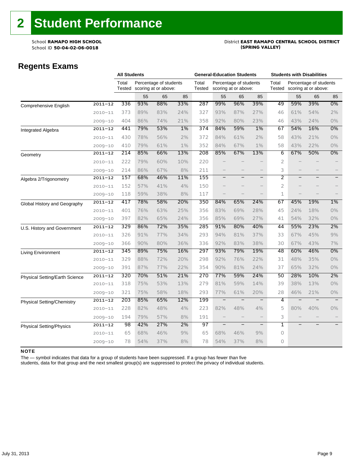# School **RAMAPO HIGH SCHOOL**<br>School ID 50-04-02-06-0018<br>Chool ID 50-04-02-06-0018

### **Regents Exams**

|                                   |             | <b>All Students</b>                                               |     |     | <b>General-Education Students</b> |                                                |                          |                   | <b>Students with Disabilities</b> |                                                |                   |                   |                   |
|-----------------------------------|-------------|-------------------------------------------------------------------|-----|-----|-----------------------------------|------------------------------------------------|--------------------------|-------------------|-----------------------------------|------------------------------------------------|-------------------|-------------------|-------------------|
|                                   |             | Total<br>Percentage of students<br>Tested<br>scoring at or above: |     |     | Total<br>Tested                   | Percentage of students<br>scoring at or above: |                          |                   | Total<br>Tested                   | Percentage of students<br>scoring at or above: |                   |                   |                   |
|                                   |             |                                                                   | 55  | 65  | 85                                |                                                | 55                       | 65                | 85                                |                                                | 55                | 65                | 85                |
| Comprehensive English             | $2011 - 12$ | 336                                                               | 93% | 88% | 33%                               | 287                                            | 99%                      | 96%               | 39%                               | 49                                             | 59%               | 39%               | 0%                |
|                                   | $2010 - 11$ | 373                                                               | 89% | 83% | 24%                               | 327                                            | 93%                      | 87%               | 27%                               | 46                                             | 61%               | 54%               | 2%                |
|                                   | $2009 - 10$ | 404                                                               | 86% | 74% | 21%                               | 358                                            | 92%                      | 80%               | 23%                               | 46                                             | 43%               | 24%               | $0\%$             |
| Integrated Algebra                | $2011 - 12$ | 441                                                               | 79% | 53% | 1%                                | 374                                            | 84%                      | 59%               | 1%                                | 67                                             | 54%               | 16%               | 0%                |
|                                   | $2010 - 11$ | 430                                                               | 78% | 56% | 2%                                | 372                                            | 84%                      | 61%               | 2%                                | 58                                             | 43%               | 21%               | $0\%$             |
|                                   | $2009 - 10$ | 410                                                               | 79% | 61% | $1\%$                             | 352                                            | 84%                      | 67%               | $1\%$                             | 58                                             | 43%               | 22%               | 0%                |
| Geometry                          | $2011 - 12$ | 214                                                               | 85% | 66% | 13%                               | 208                                            | 85%                      | 67%               | 13%                               | 6                                              | 67%               | 50%               | 0%                |
|                                   | $2010 - 11$ | 222                                                               | 79% | 60% | 10%                               | 220                                            |                          |                   |                                   | $\overline{2}$                                 |                   |                   |                   |
|                                   | $2009 - 10$ | 214                                                               | 86% | 67% | 8%                                | 211                                            |                          |                   | $\qquad \qquad -$                 | 3                                              |                   |                   |                   |
| Algebra 2/Trigonometry            | $2011 - 12$ | 157                                                               | 68% | 46% | 11%                               | 155                                            | $\qquad \qquad -$        | $\qquad \qquad -$ | $\overline{\phantom{a}}$          | $\overline{2}$                                 | $\qquad \qquad -$ | $\qquad \qquad -$ | $\qquad \qquad -$ |
|                                   | $2010 - 11$ | 152                                                               | 57% | 41% | 4%                                | 150                                            |                          |                   | $\qquad \qquad -$                 | $\overline{2}$                                 |                   |                   |                   |
|                                   | $2009 - 10$ | 118                                                               | 59% | 38% | 8%                                | 117                                            |                          |                   |                                   | 1                                              |                   |                   |                   |
| Global History and Geography      | $2011 - 12$ | 417                                                               | 78% | 58% | 20%                               | 350                                            | 84%                      | 65%               | 24%                               | 67                                             | 45%               | 19%               | 1%                |
|                                   | $2010 - 11$ | 401                                                               | 76% | 63% | 25%                               | 356                                            | 83%                      | 69%               | 28%                               | 45                                             | 24%               | 18%               | 0%                |
|                                   | $2009 - 10$ | 397                                                               | 82% | 65% | 24%                               | 356                                            | 85%                      | 69%               | 27%                               | 41                                             | 54%               | 32%               | $0\%$             |
| U.S. History and Government       | $2011 - 12$ | 329                                                               | 86% | 72% | 35%                               | 285                                            | 91%                      | 80%               | 40%                               | 44                                             | 55%               | 23%               | 2%                |
|                                   | $2010 - 11$ | 326                                                               | 91% | 77% | 34%                               | 293                                            | 94%                      | 81%               | 37%                               | 33                                             | 67%               | 45%               | 9%                |
|                                   | $2009 - 10$ | 366                                                               | 90% | 80% | 36%                               | 336                                            | 92%                      | 83%               | 38%                               | 30                                             | 67%               | 43%               | 7%                |
| Living Environment                | $2011 - 12$ | 345                                                               | 89% | 75% | 16%                               | 297                                            | 93%                      | 79%               | 19%                               | 48                                             | 60%               | 46%               | 0%                |
|                                   | $2010 - 11$ | 329                                                               | 88% | 72% | 20%                               | 298                                            | 92%                      | 76%               | 22%                               | 31                                             | 48%               | 35%               | $0\%$             |
|                                   | $2009 - 10$ | 391                                                               | 87% | 77% | 22%                               | 354                                            | 90%                      | 81%               | 24%                               | 37                                             | 65%               | 32%               | $0\%$             |
| Physical Setting/Earth Science    | $2011 - 12$ | 320                                                               | 70% | 51% | 21%                               | 270                                            | 77%                      | 59%               | 24%                               | 50                                             | 28%               | 10%               | 2%                |
|                                   | $2010 - 11$ | 318                                                               | 75% | 53% | 13%                               | 279                                            | 81%                      | 59%               | 14%                               | 39                                             | 38%               | 13%               | 0%                |
|                                   | $2009 - 10$ | 321                                                               | 75% | 58% | 18%                               | 293                                            | 77%                      | 61%               | 20%                               | 28                                             | 46%               | 21%               | 0%                |
| <b>Physical Setting/Chemistry</b> | $2011 - 12$ | 203                                                               | 85% | 65% | 12%                               | 199                                            | $\overline{\phantom{0}}$ |                   | $\overline{\phantom{0}}$          | 4                                              |                   |                   |                   |
|                                   | $2010 - 11$ | 228                                                               | 82% | 48% | 4%                                | 223                                            | 82%                      | 48%               | 4%                                | 5                                              | 80%               | 40%               | $0\%$             |
|                                   | $2009 - 10$ | 194                                                               | 79% | 57% | 8%                                | 191                                            |                          |                   |                                   | 3                                              |                   |                   |                   |
| <b>Physical Setting/Physics</b>   | $2011 - 12$ | 98                                                                | 42% | 27% | 2%                                | 97                                             | $\qquad \qquad -$        | $\qquad \qquad -$ | $\qquad \qquad -$                 | ī                                              |                   |                   |                   |
|                                   | $2010 - 11$ | 65                                                                | 68% | 46% | 9%                                | 65                                             | 68%                      | 46%               | 9%                                | 0                                              |                   |                   |                   |
|                                   | $2009 - 10$ | 78                                                                | 54% | 37% | 8%                                | 78                                             | 54%                      | 37%               | 8%                                | 0                                              |                   |                   |                   |

#### NOTE

The — symbol indicates that data for a group of students have been suppressed. If a group has fewer than five

students, data for that group and the next smallest group(s) are suppressed to protect the privacy of individual students.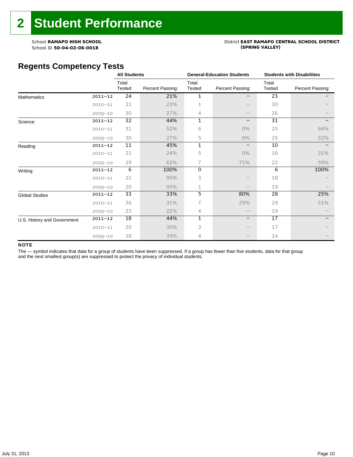# School **RAMAPO HIGH SCHOOL**<br>School ID 50-04-02-06-0018<br>Chool ID 50-04-02-06-0018

### **Regents Competency Tests**

|                             |             | <b>All Students</b> |                  |                 | <b>General-Education Students</b> | <b>Students with Disabilities</b> |                  |  |
|-----------------------------|-------------|---------------------|------------------|-----------------|-----------------------------------|-----------------------------------|------------------|--|
|                             |             | Total<br>Tested     | Percent Passing: | Total<br>Tested | Percent Passing:                  | Total<br>Tested                   | Percent Passing: |  |
| <b>Mathematics</b>          | $2011 - 12$ | 24                  | 21%              | 1               | -                                 | 23                                |                  |  |
|                             | $2010 - 11$ | 31                  | 23%              | 1               |                                   | 30                                |                  |  |
|                             | $2009 - 10$ | 30                  | 27%              | 4               |                                   | 26                                |                  |  |
| Science                     | $2011 - 12$ | 32                  | 44%              | 1               | -                                 | 31                                |                  |  |
|                             | $2010 - 11$ | 31                  | 52%              | 6               | 0%                                | 25                                | 64%              |  |
|                             | $2009 - 10$ | 30                  | 27%              | 5               | 0%                                | 25                                | 32%              |  |
| Reading                     | $2011 - 12$ | 11                  | 45%              | 1               |                                   | 10                                |                  |  |
|                             | $2010 - 11$ | 21                  | 24%              | 5               | 0%                                | 16                                | 31%              |  |
|                             | $2009 - 10$ | 29                  | 62%              | 7               | 71%                               | 22                                | 59%              |  |
| Writing                     | $2011 - 12$ | 6                   | 100%             | 0               |                                   | 6                                 | 100%             |  |
|                             | $2010 - 11$ | 21                  | 95%              | 3               |                                   | 18                                |                  |  |
|                             | $2009 - 10$ | 20                  | 95%              | 1               |                                   | 19                                |                  |  |
| <b>Global Studies</b>       | $2011 - 12$ | 33                  | 33%              | 5               | 80%                               | 28                                | 25%              |  |
|                             | $2010 - 11$ | 36                  | 31%              | 7               | 29%                               | 29                                | 31%              |  |
|                             | $2009 - 10$ | 23                  | 22%              | 4               |                                   | 19                                |                  |  |
| U.S. History and Government | $2011 - 12$ | 18                  | 44%              | $\mathbf{1}$    | -                                 | 17                                |                  |  |
|                             | $2010 - 11$ | 20                  | 30%              | 3               |                                   | 17                                |                  |  |
|                             | $2009 - 10$ | 18                  | 39%              | 4               |                                   | 14                                |                  |  |

#### NOTE

The - symbol indicates that data for a group of students have been suppressed. If a group has fewer than five students, data for that group and the next smallest group(s) are suppressed to protect the privacy of individual students.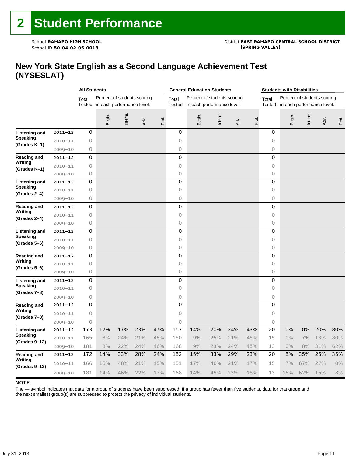# School **RAMAPO HIGH SCHOOL**<br>School ID 50-04-02-06-0018<br>Chool ID 50-04-02-06-0018

### **New York State English as a Second Language Achievement Test (NYSESLAT)**

|                                   |             | <b>All Students</b> |                                                                  |         |      | <b>General-Education Students</b> |                                                                              |        |         | <b>Students with Disabilities</b> |                 |                                                           |        |         |      |       |
|-----------------------------------|-------------|---------------------|------------------------------------------------------------------|---------|------|-----------------------------------|------------------------------------------------------------------------------|--------|---------|-----------------------------------|-----------------|-----------------------------------------------------------|--------|---------|------|-------|
|                                   |             | Total               | Percent of students scoring<br>Tested in each performance level: |         |      |                                   | Percent of students scoring<br>Total<br>Tested<br>in each performance level: |        |         |                                   | Total<br>Tested | Percent of students scoring<br>in each performance level: |        |         |      |       |
|                                   |             |                     | Begin.                                                           | Interm. | Adv. | Prof.                             |                                                                              | Begin. | Interm. | Adv.                              | Prof.           |                                                           | Begin. | Interm. | Adv. | Prof. |
| <b>Listening and</b>              | $2011 - 12$ | 0                   |                                                                  |         |      |                                   | 0                                                                            |        |         |                                   |                 | 0                                                         |        |         |      |       |
| <b>Speaking</b>                   | $2010 - 11$ | 0                   |                                                                  |         |      |                                   | $\circ$                                                                      |        |         |                                   |                 | 0                                                         |        |         |      |       |
| (Grades K-1)                      | $2009 - 10$ | 0                   |                                                                  |         |      |                                   | $\circ$                                                                      |        |         |                                   |                 | 0                                                         |        |         |      |       |
| <b>Reading and</b>                | $2011 - 12$ | 0                   |                                                                  |         |      |                                   | 0                                                                            |        |         |                                   |                 | 0                                                         |        |         |      |       |
| Writing<br>(Grades K-1)           | $2010 - 11$ | 0                   |                                                                  |         |      |                                   | $\circ$                                                                      |        |         |                                   |                 | $\circ$                                                   |        |         |      |       |
|                                   | $2009 - 10$ | 0                   |                                                                  |         |      |                                   | $\circ$                                                                      |        |         |                                   |                 | 0                                                         |        |         |      |       |
| Listening and                     | $2011 - 12$ | 0                   |                                                                  |         |      |                                   | $\mathbf 0$                                                                  |        |         |                                   |                 | 0                                                         |        |         |      |       |
| <b>Speaking</b><br>(Grades 2-4)   | $2010 - 11$ | 0                   |                                                                  |         |      |                                   | $\circ$                                                                      |        |         |                                   |                 | 0                                                         |        |         |      |       |
|                                   | $2009 - 10$ | 0                   |                                                                  |         |      |                                   | $\circ$                                                                      |        |         |                                   |                 | 0                                                         |        |         |      |       |
| Reading and                       | $2011 - 12$ | 0                   |                                                                  |         |      |                                   | 0                                                                            |        |         |                                   |                 | 0                                                         |        |         |      |       |
| Writing<br>(Grades 2-4)           | $2010 - 11$ | 0                   |                                                                  |         |      |                                   | $\circ$                                                                      |        |         |                                   |                 | 0                                                         |        |         |      |       |
|                                   | $2009 - 10$ | 0                   |                                                                  |         |      |                                   | 0                                                                            |        |         |                                   |                 | 0                                                         |        |         |      |       |
| Listening and                     | $2011 - 12$ | 0                   |                                                                  |         |      |                                   | 0                                                                            |        |         |                                   |                 | 0                                                         |        |         |      |       |
| <b>Speaking</b><br>$(Grades 5-6)$ | $2010 - 11$ | 0                   |                                                                  |         |      |                                   | $\circ$                                                                      |        |         |                                   |                 | 0                                                         |        |         |      |       |
|                                   | $2009 - 10$ | 0                   |                                                                  |         |      |                                   | $\circ$                                                                      |        |         |                                   |                 | 0                                                         |        |         |      |       |
| <b>Reading and</b>                | $2011 - 12$ | 0                   |                                                                  |         |      |                                   | 0                                                                            |        |         |                                   |                 | 0                                                         |        |         |      |       |
| Writing<br>(Grades 5–6)           | $2010 - 11$ | 0                   |                                                                  |         |      |                                   | $\circ$                                                                      |        |         |                                   |                 | 0                                                         |        |         |      |       |
|                                   | $2009 - 10$ | 0                   |                                                                  |         |      |                                   | $\circ$                                                                      |        |         |                                   |                 | 0                                                         |        |         |      |       |
| Listening and                     | $2011 - 12$ | 0                   |                                                                  |         |      |                                   | 0                                                                            |        |         |                                   |                 | 0                                                         |        |         |      |       |
| <b>Speaking</b><br>(Grades 7-8)   | $2010 - 11$ | 0                   |                                                                  |         |      |                                   | $\circ$                                                                      |        |         |                                   |                 | 0                                                         |        |         |      |       |
|                                   | $2009 - 10$ | 0                   |                                                                  |         |      |                                   | 0                                                                            |        |         |                                   |                 | 0                                                         |        |         |      |       |
| <b>Reading and</b>                | $2011 - 12$ | 0                   |                                                                  |         |      |                                   | 0                                                                            |        |         |                                   |                 | 0                                                         |        |         |      |       |
| Writing<br>(Grades 7-8)           | $2010 - 11$ | 0                   |                                                                  |         |      |                                   | $\circ$                                                                      |        |         |                                   |                 | 0                                                         |        |         |      |       |
|                                   | $2009 - 10$ | 0                   |                                                                  |         |      |                                   | 0                                                                            |        |         |                                   |                 | 0                                                         |        |         |      |       |
| Listening and                     | $2011 - 12$ | 173                 | 12%                                                              | 17%     | 23%  | 47%                               | 153                                                                          | 14%    | 20%     | 24%                               | 43%             | 20                                                        | 0%     | 0%      | 20%  | 80%   |
| <b>Speaking</b><br>(Grades 9-12)  | $2010 - 11$ | 165                 | 8%                                                               | 24%     | 21%  | 48%                               | 150                                                                          | 9%     | 25%     | 21%                               | 45%             | 15                                                        | 0%     | 7%      | 13%  | 80%   |
|                                   | $2009 - 10$ | 181                 | 8%                                                               | 22%     | 24%  | 46%                               | 168                                                                          | 9%     | 23%     | 24%                               | 45%             | 13                                                        | 0%     | 8%      | 31%  | 62%   |
| <b>Reading and</b><br>Writing     | $2011 - 12$ | 172                 | 14%                                                              | 33%     | 28%  | 24%                               | 152                                                                          | 15%    | 33%     | 29%                               | 23%             | 20                                                        | 5%     | 35%     | 25%  | 35%   |
| (Grades 9-12)                     | $2010 - 11$ | 166                 | 16%                                                              | 48%     | 21%  | 15%                               | 151                                                                          | 17%    | 46%     | 21%                               | 17%             | 15                                                        | 7%     | 67%     | 27%  | 0%    |
|                                   | $2009 - 10$ | 181                 | 14%                                                              | 46%     | 22%  | 17%                               | 168                                                                          | 14%    | 45%     | 23%                               | 18%             | 13                                                        | 15%    | 62%     | 15%  | 8%    |

#### **NOTE**

The — symbol indicates that data for a group of students have been suppressed. If a group has fewer than five students, data for that group and the next smallest group(s) are suppressed to protect the privacy of individual students.